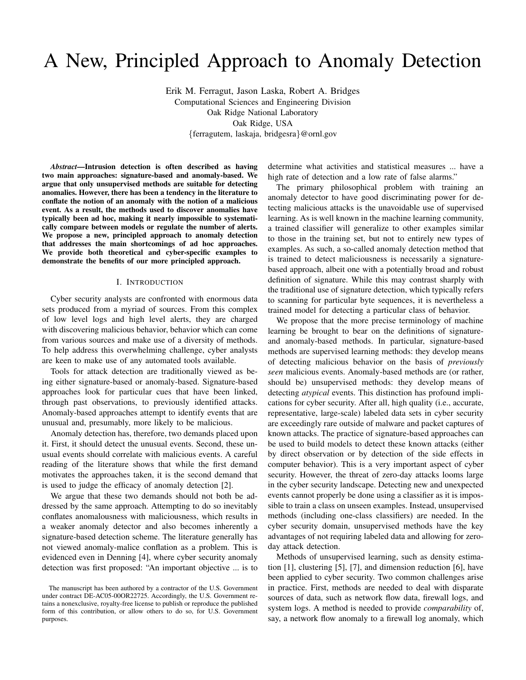# A New, Principled Approach to Anomaly Detection

Erik M. Ferragut, Jason Laska, Robert A. Bridges Computational Sciences and Engineering Division Oak Ridge National Laboratory Oak Ridge, USA {ferragutem, laskaja, bridgesra}@ornl.gov

*Abstract*—Intrusion detection is often described as having two main approaches: signature-based and anomaly-based. We argue that only unsupervised methods are suitable for detecting anomalies. However, there has been a tendency in the literature to conflate the notion of an anomaly with the notion of a malicious event. As a result, the methods used to discover anomalies have typically been ad hoc, making it nearly impossible to systematically compare between models or regulate the number of alerts. We propose a new, principled approach to anomaly detection that addresses the main shortcomings of ad hoc approaches. We provide both theoretical and cyber-specific examples to demonstrate the benefits of our more principled approach.

# I. INTRODUCTION

Cyber security analysts are confronted with enormous data sets produced from a myriad of sources. From this complex of low level logs and high level alerts, they are charged with discovering malicious behavior, behavior which can come from various sources and make use of a diversity of methods. To help address this overwhelming challenge, cyber analysts are keen to make use of any automated tools available.

Tools for attack detection are traditionally viewed as being either signature-based or anomaly-based. Signature-based approaches look for particular cues that have been linked, through past observations, to previously identified attacks. Anomaly-based approaches attempt to identify events that are unusual and, presumably, more likely to be malicious.

Anomaly detection has, therefore, two demands placed upon it. First, it should detect the unusual events. Second, these unusual events should correlate with malicious events. A careful reading of the literature shows that while the first demand motivates the approaches taken, it is the second demand that is used to judge the efficacy of anomaly detection [2].

We argue that these two demands should not both be addressed by the same approach. Attempting to do so inevitably conflates anomalousness with maliciousness, which results in a weaker anomaly detector and also becomes inherently a signature-based detection scheme. The literature generally has not viewed anomaly-malice conflation as a problem. This is evidenced even in Denning [4], where cyber security anomaly detection was first proposed: "An important objective ... is to determine what activities and statistical measures ... have a high rate of detection and a low rate of false alarms."

The primary philosophical problem with training an anomaly detector to have good discriminating power for detecting malicious attacks is the unavoidable use of supervised learning. As is well known in the machine learning community, a trained classifier will generalize to other examples similar to those in the training set, but not to entirely new types of examples. As such, a so-called anomaly detection method that is trained to detect maliciousness is necessarily a signaturebased approach, albeit one with a potentially broad and robust definition of signature. While this may contrast sharply with the traditional use of signature detection, which typically refers to scanning for particular byte sequences, it is nevertheless a trained model for detecting a particular class of behavior.

We propose that the more precise terminology of machine learning be brought to bear on the definitions of signatureand anomaly-based methods. In particular, signature-based methods are supervised learning methods: they develop means of detecting malicious behavior on the basis of *previously seen* malicious events. Anomaly-based methods are (or rather, should be) unsupervised methods: they develop means of detecting *atypical* events. This distinction has profound implications for cyber security. After all, high quality (i.e., accurate, representative, large-scale) labeled data sets in cyber security are exceedingly rare outside of malware and packet captures of known attacks. The practice of signature-based approaches can be used to build models to detect these known attacks (either by direct observation or by detection of the side effects in computer behavior). This is a very important aspect of cyber security. However, the threat of zero-day attacks looms large in the cyber security landscape. Detecting new and unexpected events cannot properly be done using a classifier as it is impossible to train a class on unseen examples. Instead, unsupervised methods (including one-class classifiers) are needed. In the cyber security domain, unsupervised methods have the key advantages of not requiring labeled data and allowing for zeroday attack detection.

Methods of unsupervised learning, such as density estimation [1], clustering [5], [7], and dimension reduction [6], have been applied to cyber security. Two common challenges arise in practice. First, methods are needed to deal with disparate sources of data, such as network flow data, firewall logs, and system logs. A method is needed to provide *comparability* of, say, a network flow anomaly to a firewall log anomaly, which

The manuscript has been authored by a contractor of the U.S. Government under contract DE-AC05-00OR22725. Accordingly, the U.S. Government retains a nonexclusive, royalty-free license to publish or reproduce the published form of this contribution, or allow others to do so, for U.S. Government purposes.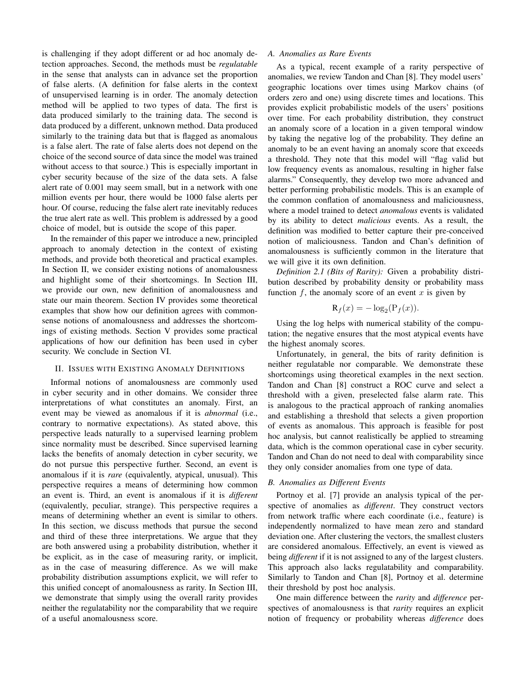is challenging if they adopt different or ad hoc anomaly detection approaches. Second, the methods must be *regulatable* in the sense that analysts can in advance set the proportion of false alerts. (A definition for false alerts in the context of unsupervised learning is in order. The anomaly detection method will be applied to two types of data. The first is data produced similarly to the training data. The second is data produced by a different, unknown method. Data produced similarly to the training data but that is flagged as anomalous is a false alert. The rate of false alerts does not depend on the choice of the second source of data since the model was trained without access to that source.) This is especially important in cyber security because of the size of the data sets. A false alert rate of 0.001 may seem small, but in a network with one million events per hour, there would be 1000 false alerts per hour. Of course, reducing the false alert rate inevitably reduces the true alert rate as well. This problem is addressed by a good choice of model, but is outside the scope of this paper.

In the remainder of this paper we introduce a new, principled approach to anomaly detection in the context of existing methods, and provide both theoretical and practical examples. In Section II, we consider existing notions of anomalousness and highlight some of their shortcomings. In Section III, we provide our own, new definition of anomalousness and state our main theorem. Section IV provides some theoretical examples that show how our definition agrees with commonsense notions of anomalousness and addresses the shortcomings of existing methods. Section V provides some practical applications of how our definition has been used in cyber security. We conclude in Section VI.

### II. ISSUES WITH EXISTING ANOMALY DEFINITIONS

Informal notions of anomalousness are commonly used in cyber security and in other domains. We consider three interpretations of what constitutes an anomaly. First, an event may be viewed as anomalous if it is *abnormal* (i.e., contrary to normative expectations). As stated above, this perspective leads naturally to a supervised learning problem since normality must be described. Since supervised learning lacks the benefits of anomaly detection in cyber security, we do not pursue this perspective further. Second, an event is anomalous if it is *rare* (equivalently, atypical, unusual). This perspective requires a means of determining how common an event is. Third, an event is anomalous if it is *different* (equivalently, peculiar, strange). This perspective requires a means of determining whether an event is similar to others. In this section, we discuss methods that pursue the second and third of these three interpretations. We argue that they are both answered using a probability distribution, whether it be explicit, as in the case of measuring rarity, or implicit, as in the case of measuring difference. As we will make probability distribution assumptions explicit, we will refer to this unified concept of anomalousness as rarity. In Section III, we demonstrate that simply using the overall rarity provides neither the regulatability nor the comparability that we require of a useful anomalousness score.

## *A. Anomalies as Rare Events*

As a typical, recent example of a rarity perspective of anomalies, we review Tandon and Chan [8]. They model users' geographic locations over times using Markov chains (of orders zero and one) using discrete times and locations. This provides explicit probabilistic models of the users' positions over time. For each probability distribution, they construct an anomaly score of a location in a given temporal window by taking the negative log of the probability. They define an anomaly to be an event having an anomaly score that exceeds a threshold. They note that this model will "flag valid but low frequency events as anomalous, resulting in higher false alarms." Consequently, they develop two more advanced and better performing probabilistic models. This is an example of the common conflation of anomalousness and maliciousness, where a model trained to detect *anomalous* events is validated by its ability to detect *malicious* events. As a result, the definition was modified to better capture their pre-conceived notion of maliciousness. Tandon and Chan's definition of anomalousness is sufficiently common in the literature that we will give it its own definition.

*Definition 2.1 (Bits of Rarity):* Given a probability distribution described by probability density or probability mass function  $f$ , the anomaly score of an event  $x$  is given by

$$
\mathsf{R}_f(x) = -\log_2(\mathrm{P}_f(x)).
$$

Using the log helps with numerical stability of the computation; the negative ensures that the most atypical events have the highest anomaly scores.

Unfortunately, in general, the bits of rarity definition is neither regulatable nor comparable. We demonstrate these shortcomings using theoretical examples in the next section. Tandon and Chan [8] construct a ROC curve and select a threshold with a given, preselected false alarm rate. This is analogous to the practical approach of ranking anomalies and establishing a threshold that selects a given proportion of events as anomalous. This approach is feasible for post hoc analysis, but cannot realistically be applied to streaming data, which is the common operational case in cyber security. Tandon and Chan do not need to deal with comparability since they only consider anomalies from one type of data.

# *B. Anomalies as Different Events*

Portnoy et al. [7] provide an analysis typical of the perspective of anomalies as *different*. They construct vectors from network traffic where each coordinate (i.e., feature) is independently normalized to have mean zero and standard deviation one. After clustering the vectors, the smallest clusters are considered anomalous. Effectively, an event is viewed as being *different* if it is not assigned to any of the largest clusters. This approach also lacks regulatability and comparability. Similarly to Tandon and Chan [8], Portnoy et al. determine their threshold by post hoc analysis.

One main difference between the *rarity* and *difference* perspectives of anomalousness is that *rarity* requires an explicit notion of frequency or probability whereas *difference* does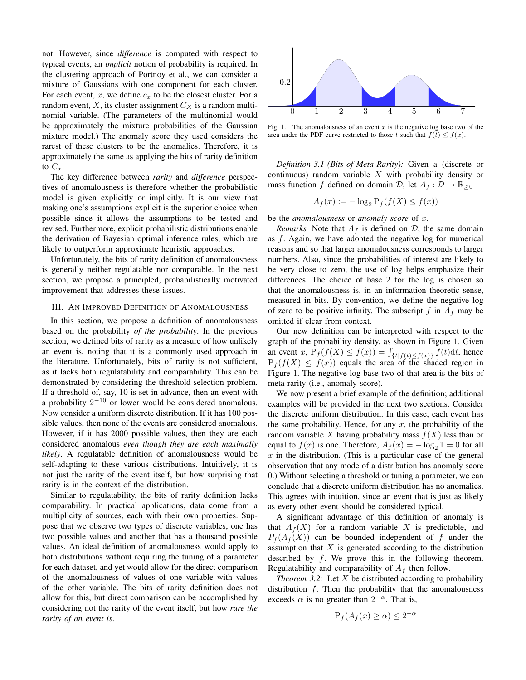not. However, since *difference* is computed with respect to typical events, an *implicit* notion of probability is required. In the clustering approach of Portnoy et al., we can consider a mixture of Gaussians with one component for each cluster. For each event,  $x$ , we define  $c_x$  to be the closest cluster. For a random event,  $X$ , its cluster assignment  $C_X$  is a random multinomial variable. (The parameters of the multinomial would be approximately the mixture probabilities of the Gaussian mixture model.) The anomaly score they used considers the rarest of these clusters to be the anomalies. Therefore, it is approximately the same as applying the bits of rarity definition to  $C_x$ .

The key difference between *rarity* and *difference* perspectives of anomalousness is therefore whether the probabilistic model is given explicitly or implicitly. It is our view that making one's assumptions explicit is the superior choice when possible since it allows the assumptions to be tested and revised. Furthermore, explicit probabilistic distributions enable the derivation of Bayesian optimal inference rules, which are likely to outperform approximate heuristic approaches.

Unfortunately, the bits of rarity definition of anomalousness is generally neither regulatable nor comparable. In the next section, we propose a principled, probabilistically motivated improvement that addresses these issues.

# III. AN IMPROVED DEFINITION OF ANOMALOUSNESS

In this section, we propose a definition of anomalousness based on the probability *of the probability*. In the previous section, we defined bits of rarity as a measure of how unlikely an event is, noting that it is a commonly used approach in the literature. Unfortunately, bits of rarity is not sufficient, as it lacks both regulatability and comparability. This can be demonstrated by considering the threshold selection problem. If a threshold of, say, 10 is set in advance, then an event with a probability  $2^{-10}$  or lower would be considered anomalous. Now consider a uniform discrete distribution. If it has 100 possible values, then none of the events are considered anomalous. However, if it has 2000 possible values, then they are each considered anomalous *even though they are each maximally likely*. A regulatable definition of anomalousness would be self-adapting to these various distributions. Intuitively, it is not just the rarity of the event itself, but how surprising that rarity is in the context of the distribution.

Similar to regulatability, the bits of rarity definition lacks comparability. In practical applications, data come from a multiplicity of sources, each with their own properties. Suppose that we observe two types of discrete variables, one has two possible values and another that has a thousand possible values. An ideal definition of anomalousness would apply to both distributions without requiring the tuning of a parameter for each dataset, and yet would allow for the direct comparison of the anomalousness of values of one variable with values of the other variable. The bits of rarity definition does not allow for this, but direct comparison can be accomplished by considering not the rarity of the event itself, but how *rare the rarity of an event is*.



Fig. 1. The anomalousness of an event  $x$  is the negative log base two of the area under the PDF curve restricted to those t such that  $f(t) \leq f(x)$ .

*Definition 3.1 (Bits of Meta-Rarity):* Given a (discrete or continuous) random variable  $X$  with probability density or mass function f defined on domain D, let  $A_f : \mathcal{D} \to \mathbb{R}_{\geq 0}$ 

$$
A_f(x) := -\log_2 \mathcal{P}_f(f(X) \le f(x))
$$

be the *anomalousness* or *anomaly score* of x.

*Remarks.* Note that  $A_f$  is defined on  $D$ , the same domain as  $f$ . Again, we have adopted the negative log for numerical reasons and so that larger anomalousness corresponds to larger numbers. Also, since the probabilities of interest are likely to be very close to zero, the use of log helps emphasize their differences. The choice of base 2 for the log is chosen so that the anomalousness is, in an information theoretic sense, measured in bits. By convention, we define the negative log of zero to be positive infinity. The subscript f in  $A_f$  may be omitted if clear from context.

Our new definition can be interpreted with respect to the graph of the probability density, as shown in Figure 1. Given an event x,  $P_f(f(X) \le f(x)) = \int_{\{t \mid f(t) \le f(x)\}} f(t) dt$ , hence  $P_f(f(X) \leq f(x))$  equals the area of the shaded region in Figure 1. The negative log base two of that area is the bits of meta-rarity (i.e., anomaly score).

We now present a brief example of the definition; additional examples will be provided in the next two sections. Consider the discrete uniform distribution. In this case, each event has the same probability. Hence, for any  $x$ , the probability of the random variable X having probability mass  $f(X)$  less than or equal to  $f(x)$  is one. Therefore,  $A_f(x) = -\log_2 1 = 0$  for all  $x$  in the distribution. (This is a particular case of the general observation that any mode of a distribution has anomaly score 0.) Without selecting a threshold or tuning a parameter, we can conclude that a discrete uniform distribution has no anomalies. This agrees with intuition, since an event that is just as likely as every other event should be considered typical.

A significant advantage of this definition of anomaly is that  $A_f(X)$  for a random variable X is predictable, and  $P_f(A_f(X))$  can be bounded independent of f under the assumption that  $X$  is generated according to the distribution described by  $f$ . We prove this in the following theorem. Regulatability and comparability of  $A_f$  then follow.

*Theorem 3.2:* Let  $X$  be distributed according to probability distribution  $f$ . Then the probability that the anomalousness exceeds  $\alpha$  is no greater than  $2^{-\alpha}$ . That is,

$$
\mathbf{P}_f(A_f(x) \ge \alpha) \le 2^{-\alpha}
$$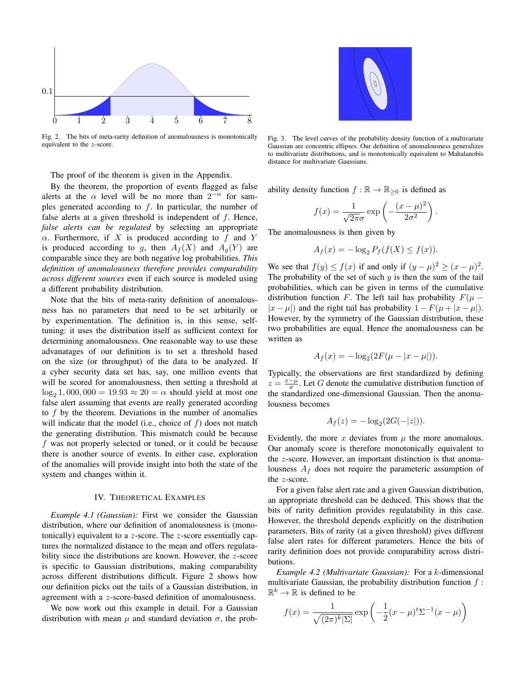

Fig. 2. The bits of meta-rarity definition of anomalousness is monotonically equivalent to the z-score.

The proof of the theorem is given in the Appendix.

By the theorem, the proportion of events flagged as false alerts at the  $\alpha$  level will be no more than  $2^{-\alpha}$  for samples generated according to  $f$ . In particular, the number of false alerts at a given threshold is independent of  $f$ . Hence, *false alerts can be regulated* by selecting an appropriate  $\alpha$ . Furthermore, if X is produced according to f and Y is produced according to g, then  $A_f(X)$  and  $A_g(Y)$  are comparable since they are both negative log probabilities. *This definition of anomalousness therefore provides comparability across different sources* even if each source is modeled using a different probability distribution.

Note that the bits of meta-rarity definition of anomalousness has no parameters that need to be set arbitarily or by experimentation. The definition is, in this sense, selftuning: it uses the distribution itself as sufficient context for determining anomalousness. One reasonable way to use these advanatages of our definition is to set a threshold based on the size (or throughput) of the data to be analyzed. If a cyber security data set has, say, one million events that will be scored for anomalousness, then setting a threshold at  $\log_2 1,000,000 = 19.93 \approx 20 = \alpha$  should yield at most one false alert assuming that events are really generated according to  $f$  by the theorem. Deviations in the number of anomalies will indicate that the model (i.e., choice of  $f$ ) does not match the generating distribution. This mismatch could be because f was not properly selected or tuned, or it could be because there is another source of events. In either case, exploration of the anomalies will provide insight into both the state of the system and changes within it.

## IV. THEORETICAL EXAMPLES

*Example 4.1 (Gaussian):* First we consider the Gaussian distribution, where our definition of anomalousness is (monotonically) equivalent to a  $z$ -score. The  $z$ -score essentially captures the normalized distance to the mean and offers regulatability since the distributions are known. However, the  $z$ -score is specific to Gaussian distributions, making comparability across different distributions difficult. Figure 2 shows how our definition picks out the tails of a Gaussian distribution, in agreement with a z-score-based definition of anomalousness.

We now work out this example in detail. For a Gaussian distribution with mean  $\mu$  and standard deviation  $\sigma$ , the prob-



Fig. 3. The level curves of the probability density function of a multivariate Gaussian are concentric ellipses. Our definition of anomalousness generalizes to multivariate distributions, and is monotonically equivalent to Mahalanobis distance for multivariate Gaussians.

ability density function  $f : \mathbb{R} \to \mathbb{R}_{\geq 0}$  is defined as

$$
f(x) = \frac{1}{\sqrt{2\pi}\sigma} \exp\left(-\frac{(x-\mu)^2}{2\sigma^2}\right).
$$

The anomalousness is then given by

$$
A_f(x) = -\log_2 P_f(f(X) \le f(x)).
$$

We see that  $f(y) \le f(x)$  if and only if  $(y - \mu)^2 \ge (x - \mu)^2$ . The probability of the set of such  $y$  is then the sum of the tail probabilities, which can be given in terms of the cumulative distribution function F. The left tail has probability  $F(\mu |x - \mu|$ ) and the right tail has probability  $1 - F(\mu + |x - \mu|)$ . However, by the symmetry of the Gaussian distribution, these two probabilities are equal. Hence the anomalousness can be written as

$$
A_f(x) = -\log_2(2F(\mu - |x - \mu|)).
$$

Typically, the observations are first standardized by defining  $z = \frac{x-\mu}{\sigma}$ . Let G denote the cumulative distribution function of the standardized one-dimensional Gaussian. Then the anomalousness becomes

$$
A_f(z) = -\log_2(2G(-|z|)).
$$

Evidently, the more x deviates from  $\mu$  the more anomalous. Our anomaly score is therefore monotonically equivalent to the z-score. However, an important distinction is that anomalousness  $A_f$  does not require the parameteric assumption of the z-score.

For a given false alert rate and a given Gaussian distribution, an appropriate threshold can be deduced. This shows that the bits of rarity definition provides regulatability in this case. However, the threshold depends explicitly on the distribution parameters. Bits of rarity (at a given threshold) gives different false alert rates for different parameters. Hence the bits of rarity definition does not provide comparability across distributions.

*Example 4.2 (Multivariate Gaussian):* For a k-dimensional multivariate Gaussian, the probability distribution function  $f$ :  $\mathbb{R}^k \to \mathbb{R}$  is defined to be

$$
f(x) = \frac{1}{\sqrt{(2\pi)^k |\Sigma|}} \exp\left(-\frac{1}{2}(x-\mu)^t \Sigma^{-1}(x-\mu)\right)
$$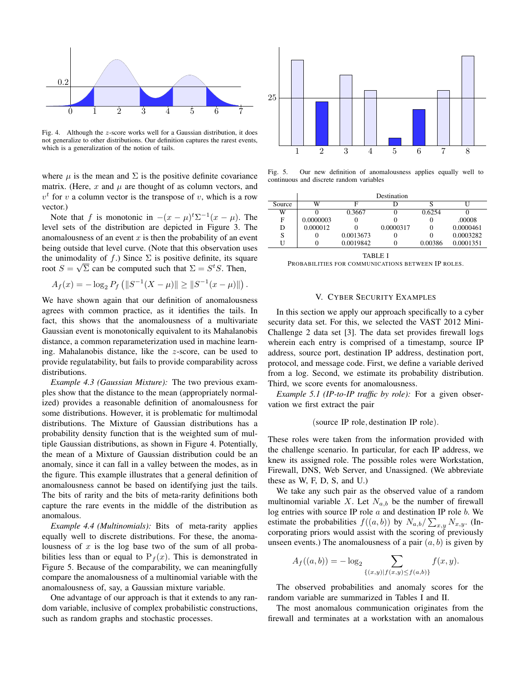

Fig. 4. Although the z-score works well for a Gaussian distribution, it does not generalize to other distributions. Our definition captures the rarest events, which is a generalization of the notion of tails.

where  $\mu$  is the mean and  $\Sigma$  is the positive definite covariance matrix. (Here, x and  $\mu$  are thought of as column vectors, and  $v<sup>t</sup>$  for v a column vector is the transpose of v, which is a row vector.)

Note that f is monotonic in  $-(x - \mu)^t \Sigma^{-1} (x - \mu)$ . The level sets of the distribution are depicted in Figure 3. The anomalousness of an event  $x$  is then the probability of an event being outside that level curve. (Note that this observation uses the unimodality of f.) Since  $\Sigma$  is positive definite, its square root  $S = \sqrt{\Sigma}$  can be computed such that  $\Sigma = S^t S$ . Then,

$$
A_f(x) = -\log_2 P_f \left( \|S^{-1}(X - \mu)\| \ge \|S^{-1}(x - \mu)\| \right).
$$

We have shown again that our definition of anomalousness agrees with common practice, as it identifies the tails. In fact, this shows that the anomalousness of a multivariate Gaussian event is monotonically equivalent to its Mahalanobis distance, a common reparameterization used in machine learning. Mahalanobis distance, like the z-score, can be used to provide regulatability, but fails to provide comparability across distributions.

*Example 4.3 (Gaussian Mixture):* The two previous examples show that the distance to the mean (appropriately normalized) provides a reasonable definition of anomalousness for some distributions. However, it is problematic for multimodal distributions. The Mixture of Gaussian distributions has a probability density function that is the weighted sum of multiple Gaussian distributions, as shown in Figure 4. Potentially, the mean of a Mixture of Gaussian distribution could be an anomaly, since it can fall in a valley between the modes, as in the figure. This example illustrates that a general definition of anomalousness cannot be based on identifying just the tails. The bits of rarity and the bits of meta-rarity definitions both capture the rare events in the middle of the distribution as anomalous.

*Example 4.4 (Multinomials):* Bits of meta-rarity applies equally well to discrete distributions. For these, the anomalousness of  $x$  is the log base two of the sum of all probabilities less than or equal to  $P_f(x)$ . This is demonstrated in Figure 5. Because of the comparability, we can meaningfully compare the anomalousness of a multinomial variable with the anomalousness of, say, a Gaussian mixture variable.

One advantage of our approach is that it extends to any random variable, inclusive of complex probabilistic constructions, such as random graphs and stochastic processes.



Fig. 5. Our new definition of anomalousness applies equally well to continuous and discrete random variables

|        | Destination |           |           |         |           |
|--------|-------------|-----------|-----------|---------|-----------|
| Source | w           | F         |           |         |           |
| W      |             | 0.3667    |           | 0.6254  |           |
| F      | 0.0000003   | U         |           |         | .00008    |
| D      | 0.000012    |           | 0.0000317 |         | 0.0000461 |
| S      |             | 0.0013673 |           |         | 0.0003282 |
|        |             | 0.0019842 |           | 0.00386 | 0.0001351 |
|        |             |           |           |         |           |

TABLE I PROBABILITIES FOR COMMUNICATIONS BETWEEN IP ROLES.

# V. CYBER SECURITY EXAMPLES

In this section we apply our approach specifically to a cyber security data set. For this, we selected the VAST 2012 Mini-Challenge 2 data set [3]. The data set provides firewall logs wherein each entry is comprised of a timestamp, source IP address, source port, destination IP address, destination port, protocol, and message code. First, we define a variable derived from a log. Second, we estimate its probability distribution. Third, we score events for anomalousness.

*Example 5.1 (IP-to-IP traffic by role):* For a given observation we first extract the pair

# (source IP role, destination IP role).

These roles were taken from the information provided with the challenge scenario. In particular, for each IP address, we knew its assigned role. The possible roles were Workstation, Firewall, DNS, Web Server, and Unassigned. (We abbreviate these as W, F, D, S, and U.)

We take any such pair as the observed value of a random multinomial variable X. Let  $N_{a,b}$  be the number of firewall log entries with source IP role  $a$  and destination IP role  $b$ . We estimate the probabilities  $f((a, b))$  by  $N_{a, b}/\sum_{x, y} N_{x, y}$ . (Incorporating priors would assist with the scoring of previously unseen events.) The anomalousness of a pair  $(a, b)$  is given by

$$
A_f((a,b)) = -\log_2 \sum_{\{(x,y)|f(x,y) \le f(a,b)\}} f(x,y).
$$

The observed probabilities and anomaly scores for the random variable are summarized in Tables I and II.

The most anomalous communication originates from the firewall and terminates at a workstation with an anomalous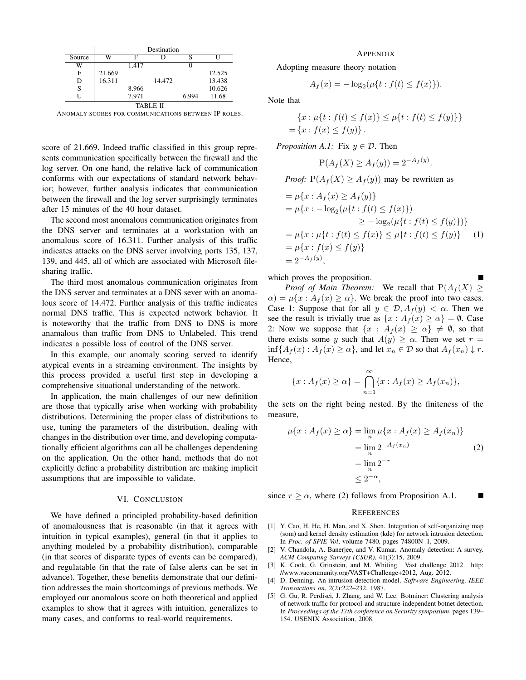

ANOMALY SCORES FOR COMMUNICATIONS BETWEEN IP ROLES.

score of 21.669. Indeed traffic classified in this group represents communication specifically between the firewall and the log server. On one hand, the relative lack of communication conforms with our expectations of standard network behavior; however, further analysis indicates that communication between the firewall and the log server surprisingly terminates after 15 minutes of the 40 hour dataset.

The second most anomalous communication originates from the DNS server and terminates at a workstation with an anomalous score of 16.311. Further analysis of this traffic indicates attacks on the DNS server involving ports 135, 137, 139, and 445, all of which are associated with Microsoft filesharing traffic.

The third most anomalous communication originates from the DNS server and terminates at a DNS sever with an anomalous score of 14.472. Further analysis of this traffic indicates normal DNS traffic. This is expected network behavior. It is noteworthy that the traffic from DNS to DNS is more anamalous than traffic from DNS to Unlabeled. This trend indicates a possible loss of control of the DNS server.

In this example, our anomaly scoring served to identify atypical events in a streaming environment. The insights by this process provided a useful first step in developing a comprehensive situational understanding of the network.

In application, the main challenges of our new definition are those that typically arise when working with probability distributions. Determining the proper class of distributions to use, tuning the parameters of the distribution, dealing with changes in the distribution over time, and developing computationally efficient algorithms can all be challenges dependening on the application. On the other hand, methods that do not explicitly define a probability distribution are making implicit assumptions that are impossible to validate.

## VI. CONCLUSION

We have defined a principled probability-based definition of anomalousness that is reasonable (in that it agrees with intuition in typical examples), general (in that it applies to anything modeled by a probability distribution), comparable (in that scores of disparate types of events can be compared), and regulatable (in that the rate of false alerts can be set in advance). Together, these benefits demonstrate that our definition addresses the main shortcomings of previous methods. We employed our anomalous score on both theoretical and applied examples to show that it agrees with intuition, generalizes to many cases, and conforms to real-world requirements.

#### APPENDIX

Adopting measure theory notation

$$
A_f(x) = -\log_2(\mu\{t : f(t) \le f(x)\}).
$$

Note that

$$
\{x : \mu\{t : f(t) \le f(x)\} \le \mu\{t : f(t) \le f(y)\}\}\
$$
  
= 
$$
\{x : f(x) \le f(y)\}.
$$

*Proposition A.1:* Fix  $y \in \mathcal{D}$ . Then

$$
P(A_f(X) \ge A_f(y)) = 2^{-A_f(y)}.
$$

*Proof:* 
$$
P(A_f(X) \ge A_f(y))
$$
 may be rewritten as

$$
= \mu\{x : A_f(x) \ge A_f(y)\}\n= \mu\{x : -\log_2(\mu\{t : f(t) \le f(x)\})\n\ge -\log_2(\mu\{t : f(t) \le f(y)\})\}\n= \mu\{x : \mu\{t : f(t) \le f(x)\} \le \mu\{t : f(t) \le f(y)\} \quad (1)\n= \mu\{x : f(x) \le f(y)\}\n= 2^{-A_f(y)},
$$

which proves the proposition.

*Proof of Main Theorem:* We recall that  $P(A_f(X)) \ge$  $\alpha$ ) =  $\mu\{x : A_f(x) \ge \alpha\}$ . We break the proof into two cases. Case 1: Suppose that for all  $y \in \mathcal{D}, A_f(y) < \alpha$ . Then we see the result is trivially true as  $\{x : A_f(x) \ge \alpha\} = \emptyset$ . Case 2: Now we suppose that  $\{x : A_f(x) \ge \alpha\} \neq \emptyset$ , so that there exists some y such that  $A(y) \geq \alpha$ . Then we set  $r =$  $\inf\{A_f(x): A_f(x) \ge \alpha\}$ , and let  $x_n \in \mathcal{D}$  so that  $A_f(x_n) \downarrow r$ . Hence,

$$
\{x : A_f(x) \ge \alpha\} = \bigcap_{n=1}^{\infty} \{x : A_f(x) \ge A_f(x_n)\},\
$$

the sets on the right being nested. By the finiteness of the measure,

$$
\mu\{x : A_f(x) \ge \alpha\} = \lim_{n} \mu\{x : A_f(x) \ge A_f(x_n)\}
$$

$$
= \lim_{n} 2^{-A_f(x_n)} \tag{2}
$$

$$
= \lim_{n} 2^{-r}
$$

$$
\le 2^{-\alpha},
$$

since  $r \ge \alpha$ , where (2) follows from Proposition A.1.

#### **REFERENCES**

- [1] Y. Cao, H. He, H. Man, and X. Shen. Integration of self-organizing map (som) and kernel density estimation (kde) for network intrusion detection. In *Proc. of SPIE Vol*, volume 7480, pages 74800N–1, 2009.
- [2] V. Chandola, A. Banerjee, and V. Kumar. Anomaly detection: A survey. *ACM Computing Surveys (CSUR)*, 41(3):15, 2009.
- [3] K. Cook, G. Grinstein, and M. Whiting. Vast challenge 2012. http: //www.vacommunity.org/VAST+Challenge+2012, Aug. 2012.
- [4] D. Denning. An intrusion-detection model. *Software Engineering, IEEE Transactions on*, 2(2):222–232, 1987.
- [5] G. Gu, R. Perdisci, J. Zhang, and W. Lee. Botminer: Clustering analysis of network traffic for protocol-and structure-independent botnet detection. In *Proceedings of the 17th conference on Security symposium*, pages 139– 154. USENIX Association, 2008.